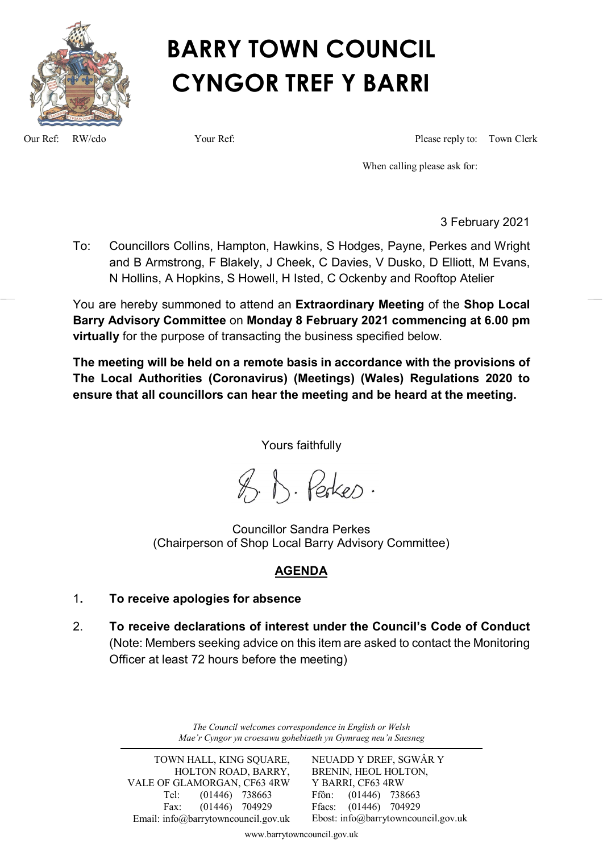

# **BARRY TOWN COUNCIL CYNGOR TREF Y BARRI**

Our Ref: RW/cdo Your Ref: Please reply to: Town Clerk

When calling please ask for:

3 February 2021

To: Councillors Collins, Hampton, Hawkins, S Hodges, Payne, Perkes and Wright and B Armstrong, F Blakely, J Cheek, C Davies, V Dusko, D Elliott, M Evans, N Hollins, A Hopkins, S Howell, H Isted, C Ockenby and Rooftop Atelier

You are hereby summoned to attend an **Extraordinary Meeting** of the **Shop Local Barry Advisory Committee** on **Monday 8 February 2021 commencing at 6.00 pm virtually** for the purpose of transacting the business specified below.

**The meeting will be held on a remote basis in accordance with the provisions of The Local Authorities (Coronavirus) (Meetings) (Wales) Regulations 2020 to ensure that all councillors can hear the meeting and be heard at the meeting.**

Yours faithfully

 $\%$ ,  $\wedge$ . Perkes.

Councillor Sandra Perkes (Chairperson of Shop Local Barry Advisory Committee)

# **AGENDA**

- 1**. To receive apologies for absence**
- 2. **To receive declarations of interest under the Council's Code of Conduct** (Note: Members seeking advice on this item are asked to contact the Monitoring Officer at least 72 hours before the meeting)

*The Council welcomes correspondence in English or Welsh Mae'r Cyngor yn croesawu gohebiaeth yn Gymraeg neu'n Saesneg*

TOWN HALL, KING SQUARE, HOLTON ROAD, BARRY, VALE OF GLAMORGAN, CF63 4RW Tel: (01446) 738663 Fax: (01446) 704929 Email: info@barrytowncouncil.gov.uk NEUADD Y DREF, SGWÂR Y BRENIN, HEOL HOLTON, Y BARRI, CF63 4RW Ffôn: (01446) 738663 Ffacs: (01446) 704929 Ebost: info@barrytowncouncil.gov.uk

www.barrytowncouncil.gov.uk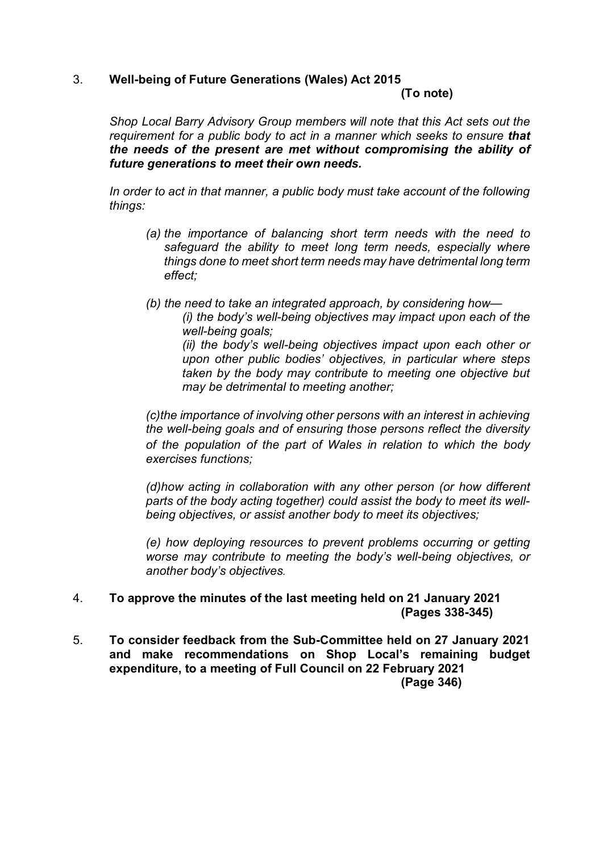#### 3. **Well-being of Future Generations (Wales) Act 2015**

#### **(To note)**

*Shop Local Barry Advisory Group members will note that this Act sets out the requirement for a public body to act in a manner which seeks to ensure that the needs of the present are met without compromising the ability of future generations to meet their own needs.*

In order to act in that manner, a public body must take account of the following *things:*

- *(a) the importance of balancing short term needs with the need to safeguard the ability to meet long term needs, especially where things done to meet short term needs may have detrimental long term effect;*
- *(b) the need to take an integrated approach, by considering how—*

*(i) the body's well-being objectives may impact upon each of the well-being goals;*

*(ii) the body's well-being objectives impact upon each other or upon other public bodies' objectives, in particular where steps taken by the body may contribute to meeting one objective but may be detrimental to meeting another;*

*(c)the importance of involving other persons with an interest in achieving the well-being goals and of ensuring those persons reflect the diversity of the population of the part of Wales in relation to which the body exercises functions;*

*(d)how acting in collaboration with any other person (or how different parts of the body acting together) could assist the body to meet its wellbeing objectives, or assist another body to meet its objectives;*

*(e) how deploying resources to prevent problems occurring or getting worse may contribute to meeting the body's well-being objectives, or another body's objectives.*

## 4. **To approve the minutes of the last meeting held on 21 January 2021 (Pages 338-345)**

5. **To consider feedback from the Sub-Committee held on 27 January 2021 and make recommendations on Shop Local's remaining budget expenditure, to a meeting of Full Council on 22 February 2021 (Page 346)**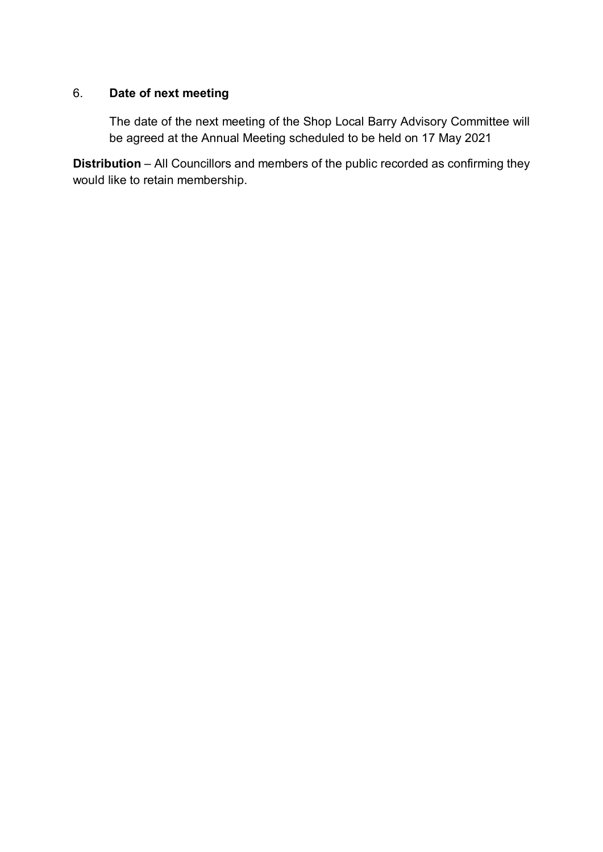# 6. **Date of next meeting**

The date of the next meeting of the Shop Local Barry Advisory Committee will be agreed at the Annual Meeting scheduled to be held on 17 May 2021

**Distribution** – All Councillors and members of the public recorded as confirming they would like to retain membership.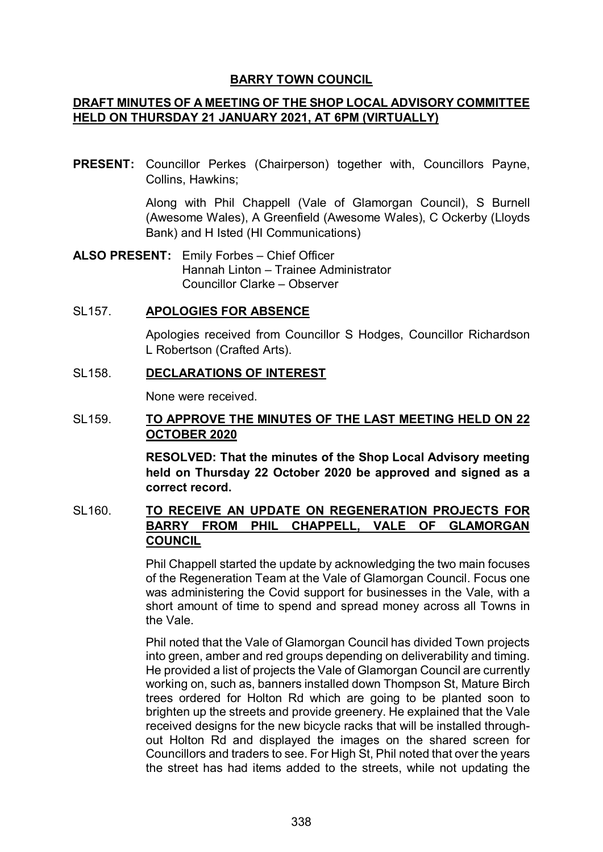## **BARRY TOWN COUNCIL**

# **DRAFT MINUTES OF A MEETING OF THE SHOP LOCAL ADVISORY COMMITTEE HELD ON THURSDAY 21 JANUARY 2021, AT 6PM (VIRTUALLY)**

**PRESENT:** Councillor Perkes (Chairperson) together with, Councillors Payne, Collins, Hawkins;

> Along with Phil Chappell (Vale of Glamorgan Council), S Burnell (Awesome Wales), A Greenfield (Awesome Wales), C Ockerby (Lloyds Bank) and H Isted (HI Communications)

**ALSO PRESENT:** Emily Forbes – Chief Officer Hannah Linton – Trainee Administrator Councillor Clarke – Observer

## SL157. **APOLOGIES FOR ABSENCE**

Apologies received from Councillor S Hodges, Councillor Richardson L Robertson (Crafted Arts).

## SL158. **DECLARATIONS OF INTEREST**

None were received.

## SL159. **TO APPROVE THE MINUTES OF THE LAST MEETING HELD ON 22 OCTOBER 2020**

**RESOLVED: That the minutes of the Shop Local Advisory meeting held on Thursday 22 October 2020 be approved and signed as a correct record.** 

# SL160. **TO RECEIVE AN UPDATE ON REGENERATION PROJECTS FOR BARRY FROM PHIL CHAPPELL, VALE OF GLAMORGAN COUNCIL**

Phil Chappell started the update by acknowledging the two main focuses of the Regeneration Team at the Vale of Glamorgan Council. Focus one was administering the Covid support for businesses in the Vale, with a short amount of time to spend and spread money across all Towns in the Vale.

Phil noted that the Vale of Glamorgan Council has divided Town projects into green, amber and red groups depending on deliverability and timing. He provided a list of projects the Vale of Glamorgan Council are currently working on, such as, banners installed down Thompson St, Mature Birch trees ordered for Holton Rd which are going to be planted soon to brighten up the streets and provide greenery. He explained that the Vale received designs for the new bicycle racks that will be installed throughout Holton Rd and displayed the images on the shared screen for Councillors and traders to see. For High St, Phil noted that over the years the street has had items added to the streets, while not updating the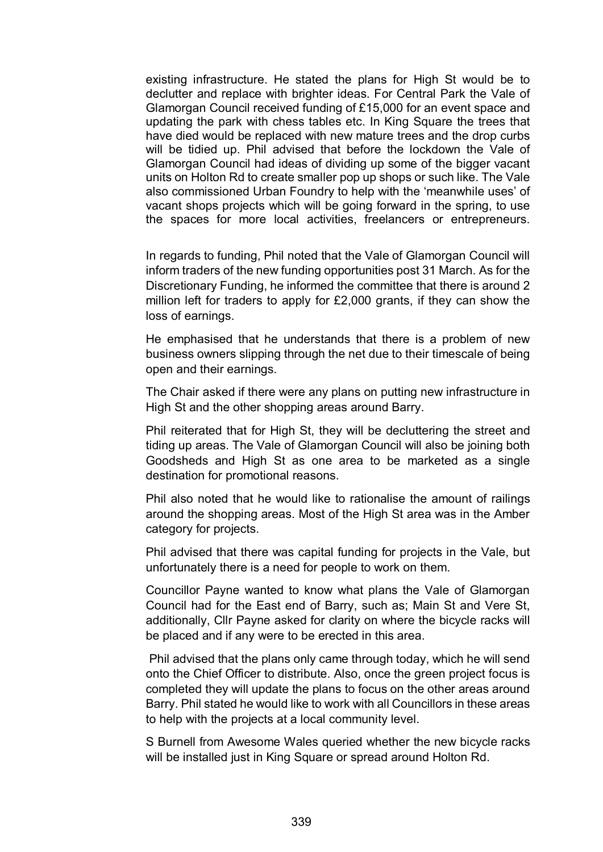existing infrastructure. He stated the plans for High St would be to declutter and replace with brighter ideas. For Central Park the Vale of Glamorgan Council received funding of £15,000 for an event space and updating the park with chess tables etc. In King Square the trees that have died would be replaced with new mature trees and the drop curbs will be tidied up. Phil advised that before the lockdown the Vale of Glamorgan Council had ideas of dividing up some of the bigger vacant units on Holton Rd to create smaller pop up shops or such like. The Vale also commissioned Urban Foundry to help with the 'meanwhile uses' of vacant shops projects which will be going forward in the spring, to use the spaces for more local activities, freelancers or entrepreneurs.

In regards to funding, Phil noted that the Vale of Glamorgan Council will inform traders of the new funding opportunities post 31 March. As for the Discretionary Funding, he informed the committee that there is around 2 million left for traders to apply for £2,000 grants, if they can show the loss of earnings.

He emphasised that he understands that there is a problem of new business owners slipping through the net due to their timescale of being open and their earnings.

The Chair asked if there were any plans on putting new infrastructure in High St and the other shopping areas around Barry.

Phil reiterated that for High St, they will be decluttering the street and tiding up areas. The Vale of Glamorgan Council will also be joining both Goodsheds and High St as one area to be marketed as a single destination for promotional reasons.

Phil also noted that he would like to rationalise the amount of railings around the shopping areas. Most of the High St area was in the Amber category for projects.

Phil advised that there was capital funding for projects in the Vale, but unfortunately there is a need for people to work on them.

Councillor Payne wanted to know what plans the Vale of Glamorgan Council had for the East end of Barry, such as; Main St and Vere St, additionally, Cllr Payne asked for clarity on where the bicycle racks will be placed and if any were to be erected in this area.

Phil advised that the plans only came through today, which he will send onto the Chief Officer to distribute. Also, once the green project focus is completed they will update the plans to focus on the other areas around Barry. Phil stated he would like to work with all Councillors in these areas to help with the projects at a local community level.

S Burnell from Awesome Wales queried whether the new bicycle racks will be installed just in King Square or spread around Holton Rd.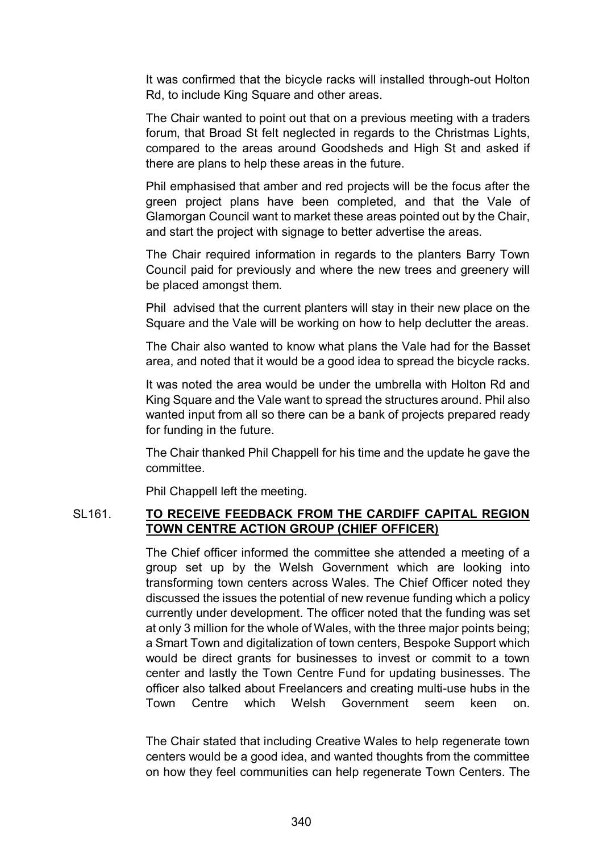It was confirmed that the bicycle racks will installed through-out Holton Rd, to include King Square and other areas.

The Chair wanted to point out that on a previous meeting with a traders forum, that Broad St felt neglected in regards to the Christmas Lights, compared to the areas around Goodsheds and High St and asked if there are plans to help these areas in the future.

Phil emphasised that amber and red projects will be the focus after the green project plans have been completed, and that the Vale of Glamorgan Council want to market these areas pointed out by the Chair, and start the project with signage to better advertise the areas.

The Chair required information in regards to the planters Barry Town Council paid for previously and where the new trees and greenery will be placed amongst them.

Phil advised that the current planters will stay in their new place on the Square and the Vale will be working on how to help declutter the areas.

The Chair also wanted to know what plans the Vale had for the Basset area, and noted that it would be a good idea to spread the bicycle racks.

It was noted the area would be under the umbrella with Holton Rd and King Square and the Vale want to spread the structures around. Phil also wanted input from all so there can be a bank of projects prepared ready for funding in the future.

The Chair thanked Phil Chappell for his time and the update he gave the committee.

Phil Chappell left the meeting.

## SL161. **TO RECEIVE FEEDBACK FROM THE CARDIFF CAPITAL REGION TOWN CENTRE ACTION GROUP (CHIEF OFFICER)**

The Chief officer informed the committee she attended a meeting of a group set up by the Welsh Government which are looking into transforming town centers across Wales. The Chief Officer noted they discussed the issues the potential of new revenue funding which a policy currently under development. The officer noted that the funding was set at only 3 million for the whole of Wales, with the three major points being; a Smart Town and digitalization of town centers, Bespoke Support which would be direct grants for businesses to invest or commit to a town center and lastly the Town Centre Fund for updating businesses. The officer also talked about Freelancers and creating multi-use hubs in the Town Centre which Welsh Government seem keen on.

The Chair stated that including Creative Wales to help regenerate town centers would be a good idea, and wanted thoughts from the committee on how they feel communities can help regenerate Town Centers. The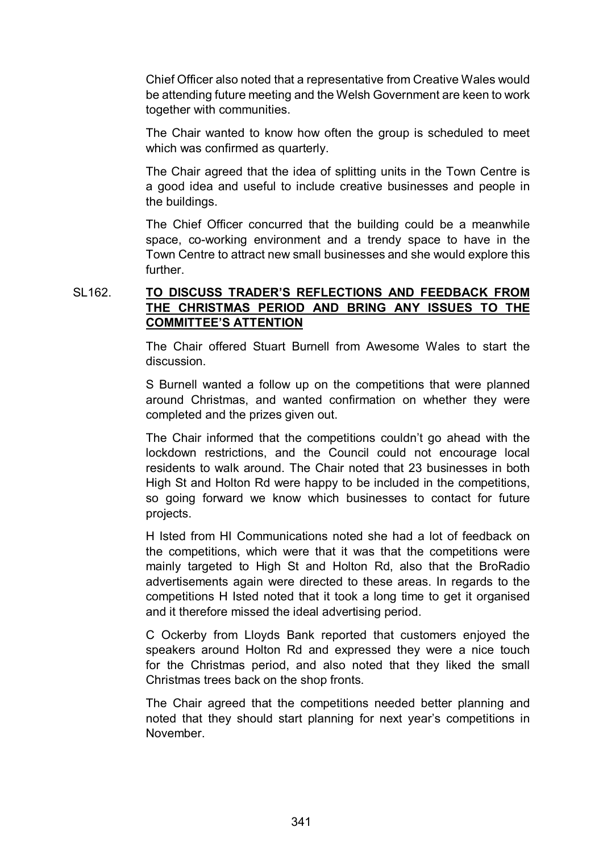Chief Officer also noted that a representative from Creative Wales would be attending future meeting and the Welsh Government are keen to work together with communities.

The Chair wanted to know how often the group is scheduled to meet which was confirmed as quarterly.

 The Chair agreed that the idea of splitting units in the Town Centre is a good idea and useful to include creative businesses and people in the buildings.

The Chief Officer concurred that the building could be a meanwhile space, co-working environment and a trendy space to have in the Town Centre to attract new small businesses and she would explore this further.

## SL162. **TO DISCUSS TRADER'S REFLECTIONS AND FEEDBACK FROM THE CHRISTMAS PERIOD AND BRING ANY ISSUES TO THE COMMITTEE'S ATTENTION**

 The Chair offered Stuart Burnell from Awesome Wales to start the discussion.

 S Burnell wanted a follow up on the competitions that were planned around Christmas, and wanted confirmation on whether they were completed and the prizes given out.

 The Chair informed that the competitions couldn't go ahead with the lockdown restrictions, and the Council could not encourage local residents to walk around. The Chair noted that 23 businesses in both High St and Holton Rd were happy to be included in the competitions, so going forward we know which businesses to contact for future projects.

 H Isted from HI Communications noted she had a lot of feedback on the competitions, which were that it was that the competitions were mainly targeted to High St and Holton Rd, also that the BroRadio advertisements again were directed to these areas. In regards to the competitions H Isted noted that it took a long time to get it organised and it therefore missed the ideal advertising period.

 C Ockerby from Lloyds Bank reported that customers enjoyed the speakers around Holton Rd and expressed they were a nice touch for the Christmas period, and also noted that they liked the small Christmas trees back on the shop fronts.

 The Chair agreed that the competitions needed better planning and noted that they should start planning for next year's competitions in November.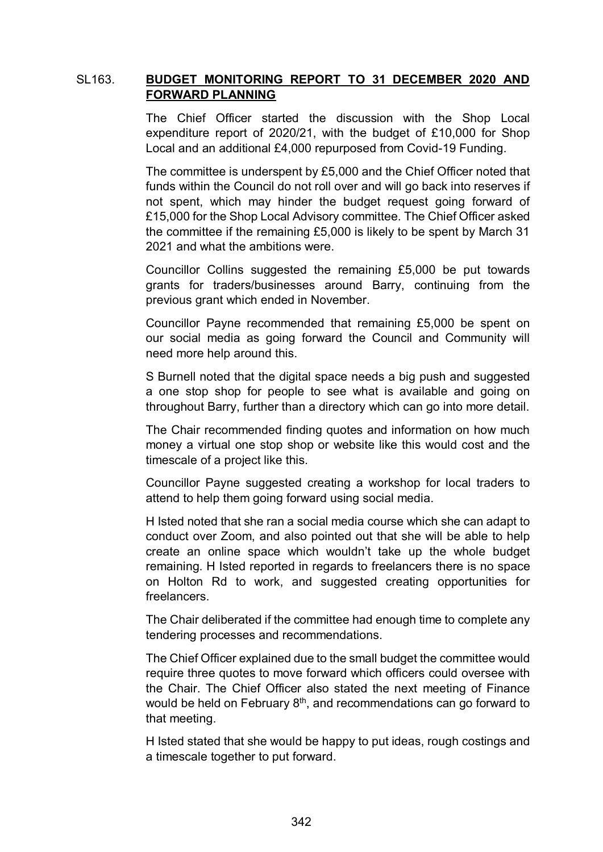## SL163. **BUDGET MONITORING REPORT TO 31 DECEMBER 2020 AND FORWARD PLANNING**

 The Chief Officer started the discussion with the Shop Local expenditure report of 2020/21, with the budget of £10,000 for Shop Local and an additional £4,000 repurposed from Covid-19 Funding.

The committee is underspent by £5,000 and the Chief Officer noted that funds within the Council do not roll over and will go back into reserves if not spent, which may hinder the budget request going forward of £15,000 for the Shop Local Advisory committee. The Chief Officer asked the committee if the remaining £5,000 is likely to be spent by March 31 2021 and what the ambitions were.

 Councillor Collins suggested the remaining £5,000 be put towards grants for traders/businesses around Barry, continuing from the previous grant which ended in November.

 Councillor Payne recommended that remaining £5,000 be spent on our social media as going forward the Council and Community will need more help around this.

S Burnell noted that the digital space needs a big push and suggested a one stop shop for people to see what is available and going on throughout Barry, further than a directory which can go into more detail.

The Chair recommended finding quotes and information on how much money a virtual one stop shop or website like this would cost and the timescale of a project like this.

Councillor Payne suggested creating a workshop for local traders to attend to help them going forward using social media.

H Isted noted that she ran a social media course which she can adapt to conduct over Zoom, and also pointed out that she will be able to help create an online space which wouldn't take up the whole budget remaining. H Isted reported in regards to freelancers there is no space on Holton Rd to work, and suggested creating opportunities for freelancers.

The Chair deliberated if the committee had enough time to complete any tendering processes and recommendations.

The Chief Officer explained due to the small budget the committee would require three quotes to move forward which officers could oversee with the Chair. The Chief Officer also stated the next meeting of Finance would be held on February  $8<sup>th</sup>$ , and recommendations can go forward to that meeting.

H Isted stated that she would be happy to put ideas, rough costings and a timescale together to put forward.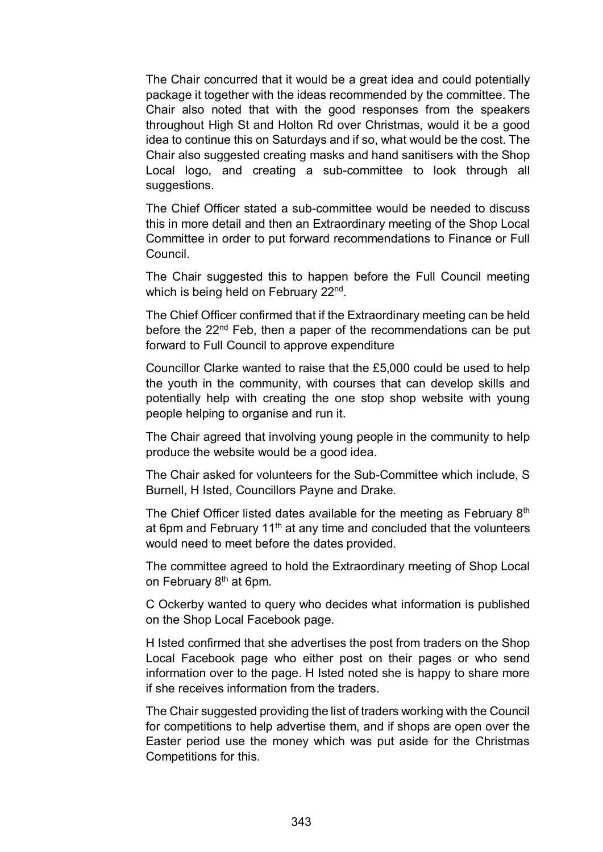The Chair concurred that it would be a great idea and could potentially package it together with the ideas recommended by the committee. The Chair also noted that with the good responses from the speakers throughout High St and Holton Rd over Christmas, would it be a good idea to continue this on Saturdays and if so, what would be the cost. The Chair also suggested creating masks and hand sanitisers with the Shop Local logo, and creating a sub-committee to look through all suggestions.

The Chief Officer stated a sub-committee would be needed to discuss this in more detail and then an Extraordinary meeting of the Shop Local Committee in order to put forward recommendations to Finance or Full Council.

The Chair suggested this to happen before the Full Council meeting which is being held on February 22<sup>nd</sup>.

The Chief Officer confirmed that if the Extraordinary meeting can be held before the 22<sup>nd</sup> Feb, then a paper of the recommendations can be put forward to Full Council to approve expenditure

Councillor Clarke wanted to raise that the £5,000 could be used to help the youth in the community, with courses that can develop skills and potentially help with creating the one stop shop website with young people helping to organise and run it.

The Chair agreed that involving young people in the community to help produce the website would be a good idea.

The Chair asked for volunteers for the Sub-Committee which include, S Burnell, H Isted, Councillors Payne and Drake.

The Chief Officer listed dates available for the meeting as February 8<sup>th</sup> at 6pm and February  $11<sup>th</sup>$  at any time and concluded that the volunteers would need to meet before the dates provided.

The committee agreed to hold the Extraordinary meeting of Shop Local on February 8<sup>th</sup> at 6pm.

C Ockerby wanted to query who decides what information is published on the Shop Local Facebook page.

H Isted confirmed that she advertises the post from traders on the Shop Local Facebook page who either post on their pages or who send information over to the page. H Isted noted she is happy to share more if she receives information from the traders.

The Chair suggested providing the list of traders working with the Council for competitions to help advertise them, and if shops are open over the Easter period use the money which was put aside for the Christmas Competitions for this.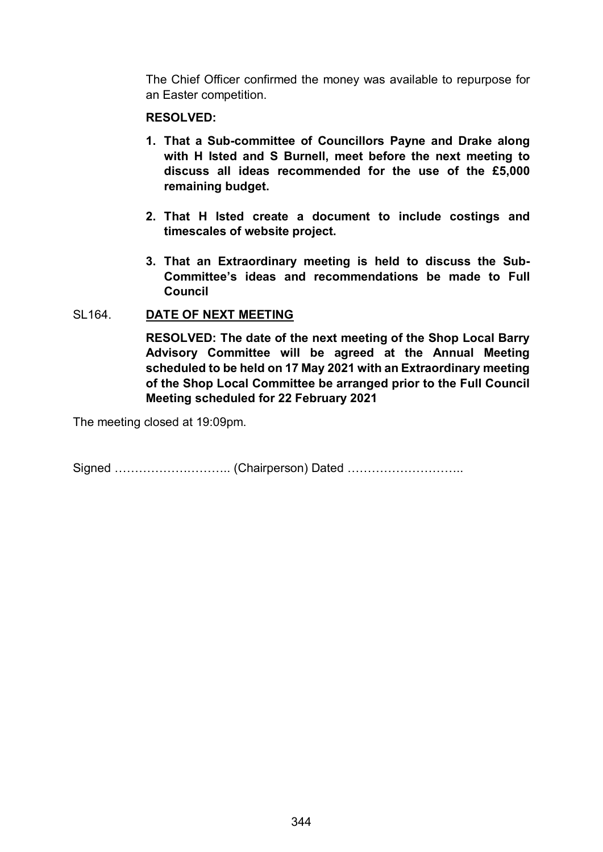The Chief Officer confirmed the money was available to repurpose for an Easter competition.

#### **RESOLVED:**

- **1. That a Sub-committee of Councillors Payne and Drake along with H Isted and S Burnell, meet before the next meeting to discuss all ideas recommended for the use of the £5,000 remaining budget.**
- **2. That H Isted create a document to include costings and timescales of website project.**
- **3. That an Extraordinary meeting is held to discuss the Sub-Committee's ideas and recommendations be made to Full Council**

#### SL164. **DATE OF NEXT MEETING**

**RESOLVED: The date of the next meeting of the Shop Local Barry Advisory Committee will be agreed at the Annual Meeting scheduled to be held on 17 May 2021 with an Extraordinary meeting of the Shop Local Committee be arranged prior to the Full Council Meeting scheduled for 22 February 2021**

The meeting closed at 19:09pm.

Signed ……………………….. (Chairperson) Dated ………………………..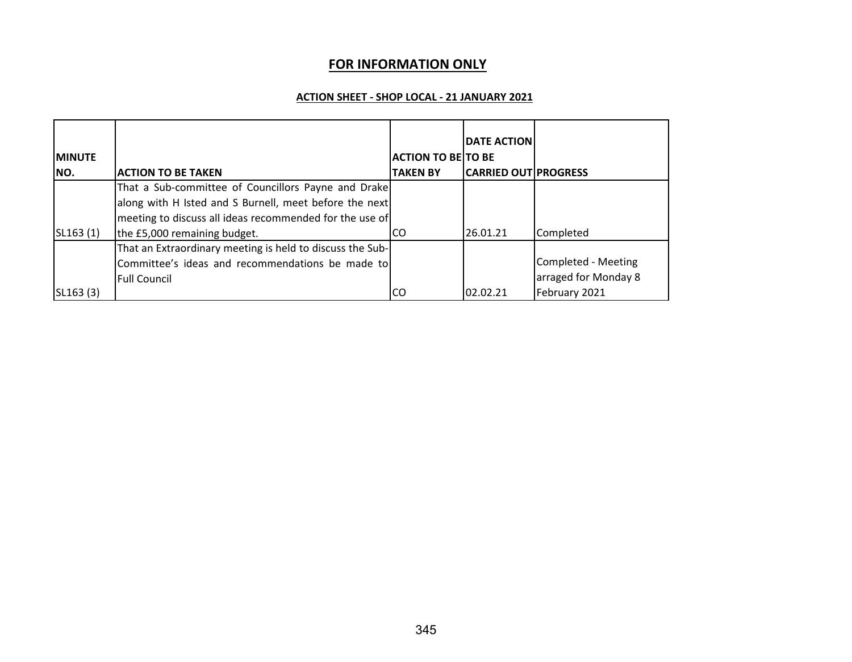## **FOR INFORMATION ONLY**

#### **ACTION SHEET - SHOP LOCAL - 21 JANUARY 2021**

|                |                                                           |                           | <b>DATE ACTION</b>          |                      |
|----------------|-----------------------------------------------------------|---------------------------|-----------------------------|----------------------|
| <b>IMINUTE</b> |                                                           | <b>ACTION TO BE TO BE</b> |                             |                      |
| INO.           | <b>ACTION TO BE TAKEN</b>                                 | <b>TAKEN BY</b>           | <b>CARRIED OUT PROGRESS</b> |                      |
|                | That a Sub-committee of Councillors Payne and Drake       |                           |                             |                      |
|                | along with H Isted and S Burnell, meet before the next    |                           |                             |                      |
|                | meeting to discuss all ideas recommended for the use of   |                           |                             |                      |
| SL163(1)       | the £5,000 remaining budget.                              | ICO.                      | 26.01.21                    | Completed            |
|                | That an Extraordinary meeting is held to discuss the Sub- |                           |                             |                      |
|                | Committee's ideas and recommendations be made to          |                           |                             | Completed - Meeting  |
|                | <b>Full Council</b>                                       |                           |                             | arraged for Monday 8 |
| SL163(3)       |                                                           | CO                        | 02.02.21                    | February 2021        |